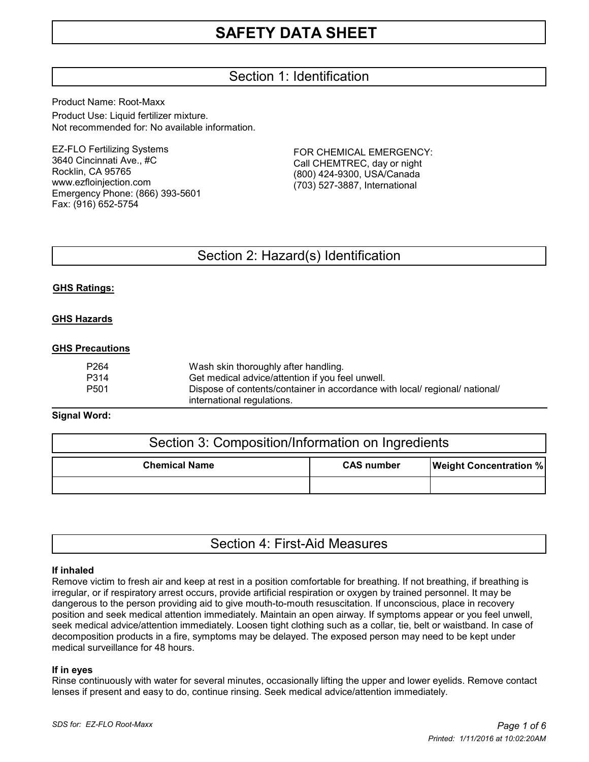# Section 1: Identification

Product Name: Root-Maxx Product Use: Liquid fertilizer mixture. Not recommended for: No available information.

EZ-FLO Fertilizing Systems 3640 Cincinnati Ave., #C Rocklin, CA 95765 www.ezfloinjection.com Emergency Phone: (866) 393-5601 Fax: (916) 652-5754

FOR CHEMICAL EMERGENCY: Call CHEMTREC, day or night (800) 424-9300, USA/Canada (703) 527-3887, International

## Section 2: Hazard(s) Identification

## **GHS Ratings:**

## **GHS Hazards**

## **GHS Precautions**

| P264 | Wash skin thoroughly after handling.                                        |
|------|-----------------------------------------------------------------------------|
| P314 | Get medical advice/attention if you feel unwell.                            |
| P501 | Dispose of contents/container in accordance with local/ regional/ national/ |
|      | international regulations.                                                  |

## **Signal Word:**

| Section 3: Composition/Information on Ingredients |                   |                               |  |  |
|---------------------------------------------------|-------------------|-------------------------------|--|--|
| <b>Chemical Name</b>                              | <b>CAS number</b> | <b>Weight Concentration %</b> |  |  |
|                                                   |                   |                               |  |  |

|  |  | Section 4: First-Aid Measures |
|--|--|-------------------------------|
|--|--|-------------------------------|

## **If inhaled**

Remove victim to fresh air and keep at rest in a position comfortable for breathing. If not breathing, if breathing is irregular, or if respiratory arrest occurs, provide artificial respiration or oxygen by trained personnel. It may be dangerous to the person providing aid to give mouth-to-mouth resuscitation. If unconscious, place in recovery position and seek medical attention immediately. Maintain an open airway. If symptoms appear or you feel unwell, seek medical advice/attention immediately. Loosen tight clothing such as a collar, tie, belt or waistband. In case of decomposition products in a fire, symptoms may be delayed. The exposed person may need to be kept under medical surveillance for 48 hours.

## **If in eyes**

Rinse continuously with water for several minutes, occasionally lifting the upper and lower eyelids. Remove contact lenses if present and easy to do, continue rinsing. Seek medical advice/attention immediately.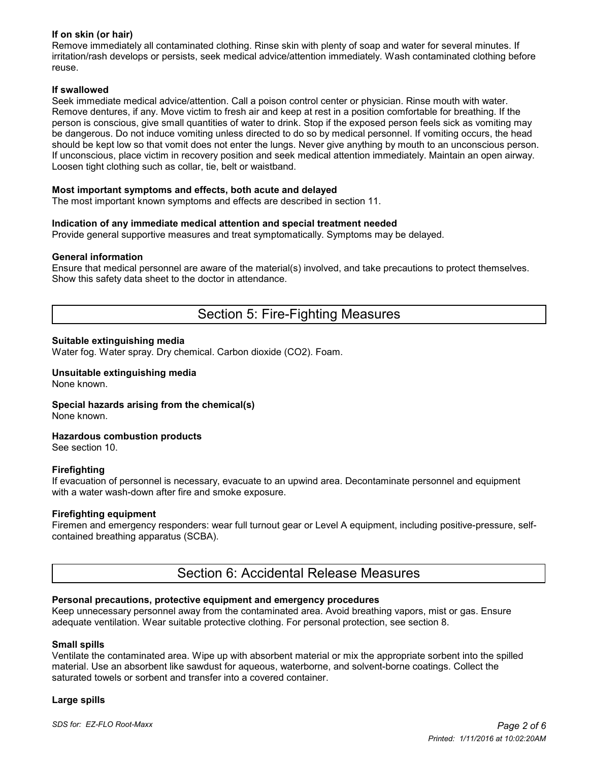## **If on skin (or hair)**

Remove immediately all contaminated clothing. Rinse skin with plenty of soap and water for several minutes. If irritation/rash develops or persists, seek medical advice/attention immediately. Wash contaminated clothing before reuse.

## **If swallowed**

Seek immediate medical advice/attention. Call a poison control center or physician. Rinse mouth with water. Remove dentures, if any. Move victim to fresh air and keep at rest in a position comfortable for breathing. If the person is conscious, give small quantities of water to drink. Stop if the exposed person feels sick as vomiting may be dangerous. Do not induce vomiting unless directed to do so by medical personnel. If vomiting occurs, the head should be kept low so that vomit does not enter the lungs. Never give anything by mouth to an unconscious person. If unconscious, place victim in recovery position and seek medical attention immediately. Maintain an open airway. Loosen tight clothing such as collar, tie, belt or waistband.

## **Most important symptoms and effects, both acute and delayed**

The most important known symptoms and effects are described in section 11.

## **Indication of any immediate medical attention and special treatment needed**

Provide general supportive measures and treat symptomatically. Symptoms may be delayed.

## **General information**

Ensure that medical personnel are aware of the material(s) involved, and take precautions to protect themselves. Show this safety data sheet to the doctor in attendance.

## Section 5: Fire-Fighting Measures

## **Suitable extinguishing media**

Water fog. Water spray. Dry chemical. Carbon dioxide (CO2). Foam.

#### **Unsuitable extinguishing media** None known.

**Special hazards arising from the chemical(s)**

None known.

## **Hazardous combustion products**

See section 10.

## **Firefighting**

If evacuation of personnel is necessary, evacuate to an upwind area. Decontaminate personnel and equipment with a water wash-down after fire and smoke exposure.

## **Firefighting equipment**

Firemen and emergency responders: wear full turnout gear or Level A equipment, including positive-pressure, selfcontained breathing apparatus (SCBA).

## Section 6: Accidental Release Measures

## **Personal precautions, protective equipment and emergency procedures**

Keep unnecessary personnel away from the contaminated area. Avoid breathing vapors, mist or gas. Ensure adequate ventilation. Wear suitable protective clothing. For personal protection, see section 8.

## **Small spills**

Ventilate the contaminated area. Wipe up with absorbent material or mix the appropriate sorbent into the spilled material. Use an absorbent like sawdust for aqueous, waterborne, and solvent-borne coatings. Collect the saturated towels or sorbent and transfer into a covered container.

## **Large spills**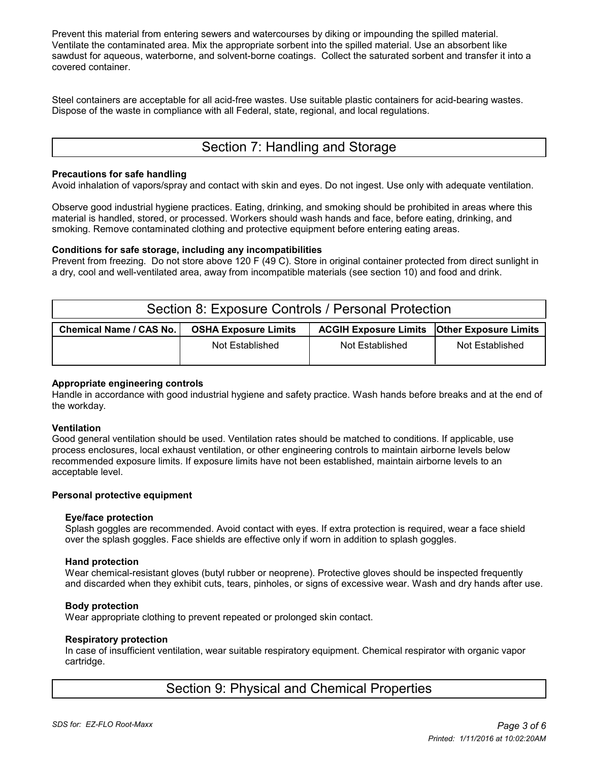Prevent this material from entering sewers and watercourses by diking or impounding the spilled material. Ventilate the contaminated area. Mix the appropriate sorbent into the spilled material. Use an absorbent like sawdust for aqueous, waterborne, and solvent-borne coatings. Collect the saturated sorbent and transfer it into a covered container.

Steel containers are acceptable for all acid-free wastes. Use suitable plastic containers for acid-bearing wastes. Dispose of the waste in compliance with all Federal, state, regional, and local regulations.

# Section 7: Handling and Storage

## **Precautions for safe handling**

Avoid inhalation of vapors/spray and contact with skin and eyes. Do not ingest. Use only with adequate ventilation.

Observe good industrial hygiene practices. Eating, drinking, and smoking should be prohibited in areas where this material is handled, stored, or processed. Workers should wash hands and face, before eating, drinking, and smoking. Remove contaminated clothing and protective equipment before entering eating areas.

## **Conditions for safe storage, including any incompatibilities**

Prevent from freezing. Do not store above 120 F (49 C). Store in original container protected from direct sunlight in a dry, cool and well-ventilated area, away from incompatible materials (see section 10) and food and drink.

| Section 8: Exposure Controls / Personal Protection |                             |                                                      |                 |  |  |
|----------------------------------------------------|-----------------------------|------------------------------------------------------|-----------------|--|--|
| <b>Chemical Name / CAS No.</b>                     | <b>OSHA Exposure Limits</b> | <b>ACGIH Exposure Limits   Other Exposure Limits</b> |                 |  |  |
|                                                    | Not Established             | Not Established                                      | Not Established |  |  |

## **Appropriate engineering controls**

Handle in accordance with good industrial hygiene and safety practice. Wash hands before breaks and at the end of the workday.

## **Ventilation**

Good general ventilation should be used. Ventilation rates should be matched to conditions. If applicable, use process enclosures, local exhaust ventilation, or other engineering controls to maintain airborne levels below recommended exposure limits. If exposure limits have not been established, maintain airborne levels to an acceptable level.

## **Personal protective equipment**

## **Eye/face protection**

 Splash goggles are recommended. Avoid contact with eyes. If extra protection is required, wear a face shield over the splash goggles. Face shields are effective only if worn in addition to splash goggles.

## **Hand protection**

 Wear chemical-resistant gloves (butyl rubber or neoprene). Protective gloves should be inspected frequently and discarded when they exhibit cuts, tears, pinholes, or signs of excessive wear. Wash and dry hands after use.

## **Body protection**

Wear appropriate clothing to prevent repeated or prolonged skin contact.

## **Respiratory protection**

 In case of insufficient ventilation, wear suitable respiratory equipment. Chemical respirator with organic vapor cartridge.

## Section 9: Physical and Chemical Properties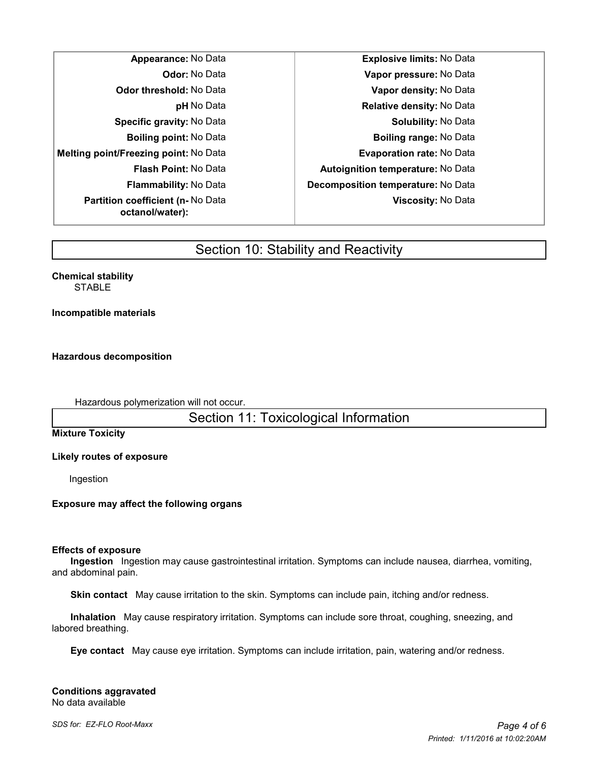| Appearance: No Data                                        |
|------------------------------------------------------------|
| <b>Odor:</b> No Data                                       |
| <b>Odor threshold: No Data</b>                             |
| <b>pH</b> No Data                                          |
| <b>Specific gravity: No Data</b>                           |
| <b>Boiling point:</b> No Data                              |
| <b>Melting point/Freezing point: No Data</b>               |
| <b>Flash Point: No Data</b>                                |
| <b>Flammability:</b> No Data                               |
| <b>Partition coefficient (n-No Data</b><br>octanol/water): |

**Appearance:** No Data **Explosive limits:** No Data **Odor:** No Data **Vapor pressure:** No Data **Odor threshold:** No Data **Vapor density:** No Data **Relative density: No Data Solubility: No Data Boiling point:** No Data **Boiling range:** No Data **Evaporation rate: No Data Flash Point:** No Data **Autoignition temperature:** No Data **Flammability:** No Data **Decomposition temperature:** No Data **Viscosity:** No Data

# Section 10: Stability and Reactivity

**Chemical stability STABLE** 

**Incompatible materials**

**Hazardous decomposition**

Hazardous polymerization will not occur.

Section 11: Toxicological Information

**Mixture Toxicity**

**Likely routes of exposure**

Ingestion

**Exposure may affect the following organs**

## **Effects of exposure**

 **Ingestion** Ingestion may cause gastrointestinal irritation. Symptoms can include nausea, diarrhea, vomiting, and abdominal pain.

 **Skin contact** May cause irritation to the skin. Symptoms can include pain, itching and/or redness.

 **Inhalation** May cause respiratory irritation. Symptoms can include sore throat, coughing, sneezing, and labored breathing.

 **Eye contact** May cause eye irritation. Symptoms can include irritation, pain, watering and/or redness.

**Conditions aggravated** No data available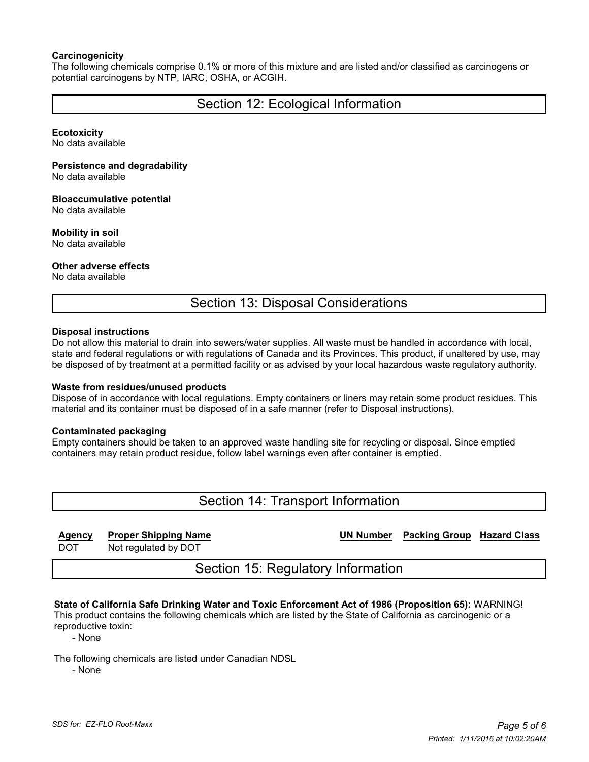## **Carcinogenicity**

The following chemicals comprise 0.1% or more of this mixture and are listed and/or classified as carcinogens or potential carcinogens by NTP, IARC, OSHA, or ACGIH.

## Section 12: Ecological Information

#### **Ecotoxicity**

No data available

#### **Persistence and degradability**

No data available

## **Bioaccumulative potential**

No data available

## **Mobility in soil**

No data available

## **Other adverse effects**

No data available

Section 13: Disposal Considerations

## **Disposal instructions**

Do not allow this material to drain into sewers/water supplies. All waste must be handled in accordance with local, state and federal regulations or with regulations of Canada and its Provinces. This product, if unaltered by use, may be disposed of by treatment at a permitted facility or as advised by your local hazardous waste regulatory authority.

## **Waste from residues/unused products**

Dispose of in accordance with local regulations. Empty containers or liners may retain some product residues. This material and its container must be disposed of in a safe manner (refer to Disposal instructions).

## **Contaminated packaging**

Empty containers should be taken to an approved waste handling site for recycling or disposal. Since emptied containers may retain product residue, follow label warnings even after container is emptied.

# Section 14: Transport Information

## **Agency Proper Shipping Name UN Number Packing Group Hazard Class**

DOT Not regulated by DOT

Section 15: Regulatory Information

#### **State of California Safe Drinking Water and Toxic Enforcement Act of 1986 (Proposition 65):** WARNING! This product contains the following chemicals which are listed by the State of California as carcinogenic or a

reproductive toxin:

- None

The following chemicals are listed under Canadian NDSL

- None